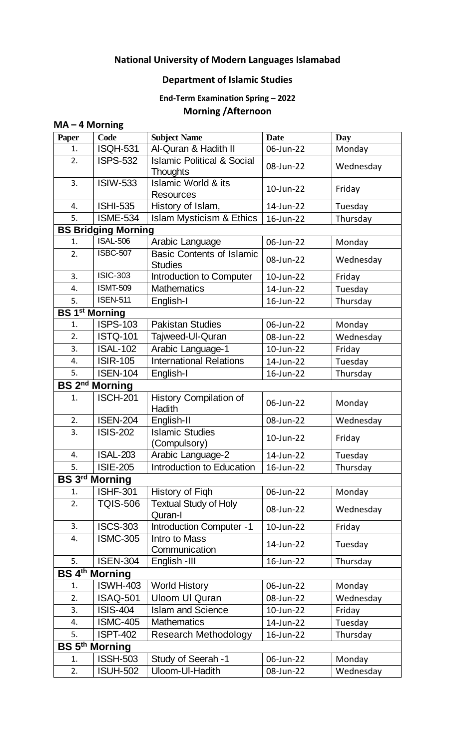## **National University of Modern Languages Islamabad**

## **Department of Islamic Studies**

## **End-Term Examination Spring – 2022 Morning /Afternoon**

| <b>Paper</b> | Code                             | <b>Subject Name</b>                                      | <b>Date</b> | Day       |
|--------------|----------------------------------|----------------------------------------------------------|-------------|-----------|
| 1.           | <b>ISQH-531</b>                  | Al-Quran & Hadith II                                     | 06-Jun-22   | Monday    |
| 2.           | <b>ISPS-532</b>                  | <b>Islamic Political &amp; Social</b><br><b>Thoughts</b> | 08-Jun-22   | Wednesday |
| 3.           | <b>ISIW-533</b>                  | <b>Islamic World &amp; its</b><br><b>Resources</b>       | 10-Jun-22   | Friday    |
| 4.           | <b>ISHI-535</b>                  | History of Islam,                                        | 14-Jun-22   | Tuesday   |
| 5.           | <b>ISME-534</b>                  | <b>Islam Mysticism &amp; Ethics</b>                      | 16-Jun-22   | Thursday  |
|              | <b>BS Bridging Morning</b>       |                                                          |             |           |
| 1.           | <b>ISAL-506</b>                  | Arabic Language                                          | 06-Jun-22   | Monday    |
| 2.           | <b>ISBC-507</b>                  | <b>Basic Contents of Islamic</b><br><b>Studies</b>       | 08-Jun-22   | Wednesday |
| 3.           | <b>ISIC-303</b>                  | Introduction to Computer                                 | 10-Jun-22   | Friday    |
| 4.           | <b>ISMT-509</b>                  | <b>Mathematics</b>                                       | 14-Jun-22   | Tuesday   |
| 5.           | <b>ISEN-511</b>                  | English-I                                                | 16-Jun-22   | Thursday  |
|              | <b>BS 1st Morning</b>            |                                                          |             |           |
| 1.           | <b>ISPS-103</b>                  | <b>Pakistan Studies</b>                                  | 06-Jun-22   | Monday    |
| 2.           | <b>ISTQ-101</b>                  | Tajweed-UI-Quran                                         | 08-Jun-22   | Wednesday |
| 3.           | <b>ISAL-102</b>                  | Arabic Language-1                                        | 10-Jun-22   | Friday    |
| 4.           | <b>ISIR-105</b>                  | <b>International Relations</b>                           | 14-Jun-22   | Tuesday   |
| 5.           | <b>ISEN-104</b>                  | English-I                                                | 16-Jun-22   | Thursday  |
|              | <b>BS 2<sup>nd</sup> Morning</b> |                                                          |             |           |
| 1.           | <b>ISCH-201</b>                  | <b>History Compilation of</b><br>Hadith                  | 06-Jun-22   | Monday    |
| 2.           | <b>ISEN-204</b>                  | English-II                                               | 08-Jun-22   | Wednesday |
| 3.           | <b>ISIS-202</b>                  | <b>Islamic Studies</b><br>(Compulsory)                   | 10-Jun-22   | Friday    |
| 4.           | <b>ISAL-203</b>                  | Arabic Language-2                                        | 14-Jun-22   | Tuesday   |
| 5.           | <b>ISIE-205</b>                  | Introduction to Education                                | 16-Jun-22   | Thursday  |
|              | <b>BS 3rd Morning</b>            |                                                          |             |           |
| 1.           | <b>ISHF-301</b>                  | History of Figh                                          | 06-Jun-22   | Monday    |
| 2.           | <b>TQIS-506</b>                  | <b>Textual Study of Holy</b><br>Quran-I                  | 08-Jun-22   | Wednesday |
| 3.           | <b>ISCS-303</b>                  | <b>Introduction Computer -1</b>                          | 10-Jun-22   | Friday    |
| 4.           | <b>ISMC-305</b>                  | Intro to Mass<br>Communication                           | 14-Jun-22   | Tuesday   |
| 5.           | <b>ISEN-304</b>                  | English -III                                             | 16-Jun-22   | Thursday  |
|              | <b>BS 4th Morning</b>            |                                                          |             |           |
| 1.           | <b>ISWH-403</b>                  | <b>World History</b>                                     | 06-Jun-22   | Monday    |
| 2.           | <b>ISAQ-501</b>                  | <b>Uloom UI Quran</b>                                    | 08-Jun-22   | Wednesday |
| 3.           | <b>ISIS-404</b>                  | <b>Islam and Science</b>                                 | 10-Jun-22   | Friday    |
| 4.           | <b>ISMC-405</b>                  | <b>Mathematics</b>                                       | 14-Jun-22   | Tuesday   |
| 5.           | <b>ISPT-402</b>                  | <b>Research Methodology</b>                              | 16-Jun-22   | Thursday  |
|              | <b>BS 5th Morning</b>            |                                                          |             |           |
| 1.           | <b>ISSH-503</b>                  | Study of Seerah -1                                       | 06-Jun-22   | Monday    |
| 2.           | <b>ISUH-502</b>                  | Uloom-Ul-Hadith                                          | 08-Jun-22   | Wednesday |

 $\mathbf{I}$